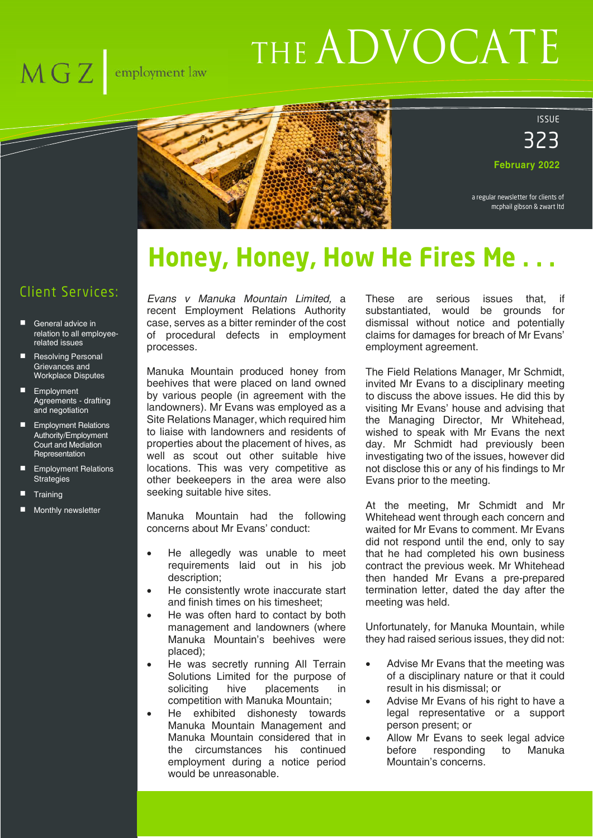# THE ADVOCATE



ISSUE 323

**February 2022**

a regular newsletter for clients of mcphail gibson & zwart ltd

# **Honey, Honey, How He Fires Me.**

#### Client Services:

- General advice in relation to all employeerelated issues
- Resolving Personal Grievances and Workplace Disputes
- **Employment** Agreements - drafting and negotiation
- **Employment Relations** Authority/Employment Court and Mediation **Representation**
- Employment Relations **Strategies**
- **Training**
- Monthly newsletter

*Evans v Manuka Mountain Limited,* a recent Employment Relations Authority case, serves as a bitter reminder of the cost of procedural defects in employment processes.

Manuka Mountain produced honey from beehives that were placed on land owned by various people (in agreement with the landowners). Mr Evans was employed as a Site Relations Manager, which required him to liaise with landowners and residents of properties about the placement of hives, as well as scout out other suitable hive locations. This was very competitive as other beekeepers in the area were also seeking suitable hive sites.

Manuka Mountain had the following concerns about Mr Evans' conduct:

- He allegedly was unable to meet requirements laid out in his job description;
- He consistently wrote inaccurate start and finish times on his timesheet;
- He was often hard to contact by both management and landowners (where Manuka Mountain's beehives were placed);
- He was secretly running All Terrain Solutions Limited for the purpose of soliciting hive placements in competition with Manuka Mountain;
- He exhibited dishonesty towards Manuka Mountain Management and Manuka Mountain considered that in the circumstances his continued employment during a notice period would be unreasonable.

These are serious issues that, if substantiated, would be grounds for dismissal without notice and potentially claims for damages for breach of Mr Evans' employment agreement.

The Field Relations Manager, Mr Schmidt, invited Mr Evans to a disciplinary meeting to discuss the above issues. He did this by visiting Mr Evans' house and advising that the Managing Director, Mr Whitehead, wished to speak with Mr Evans the next day. Mr Schmidt had previously been investigating two of the issues, however did not disclose this or any of his findings to Mr Evans prior to the meeting.

At the meeting, Mr Schmidt and Mr Whitehead went through each concern and waited for Mr Evans to comment. Mr Evans did not respond until the end, only to say that he had completed his own business contract the previous week. Mr Whitehead then handed Mr Evans a pre-prepared termination letter, dated the day after the meeting was held.

Unfortunately, for Manuka Mountain, while they had raised serious issues, they did not:

- Advise Mr Evans that the meeting was of a disciplinary nature or that it could result in his dismissal; or
- Advise Mr Evans of his right to have a legal representative or a support person present; or
- Allow Mr Evans to seek legal advice before responding to Manuka Mountain's concerns.